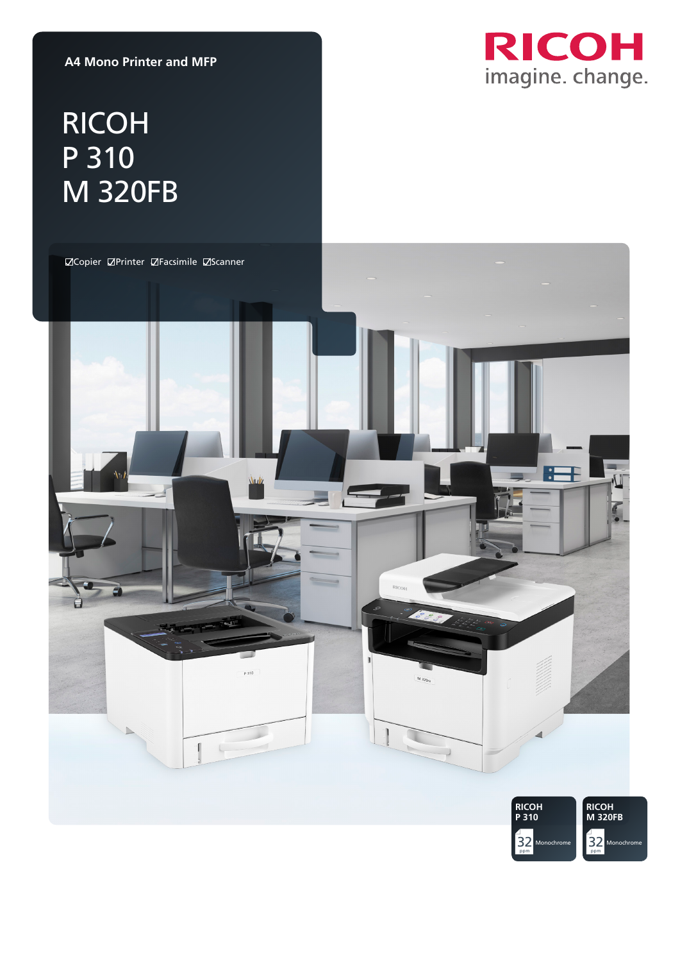**A4 Mono Printer and MFP**

# RICOH P 310 M 320FB



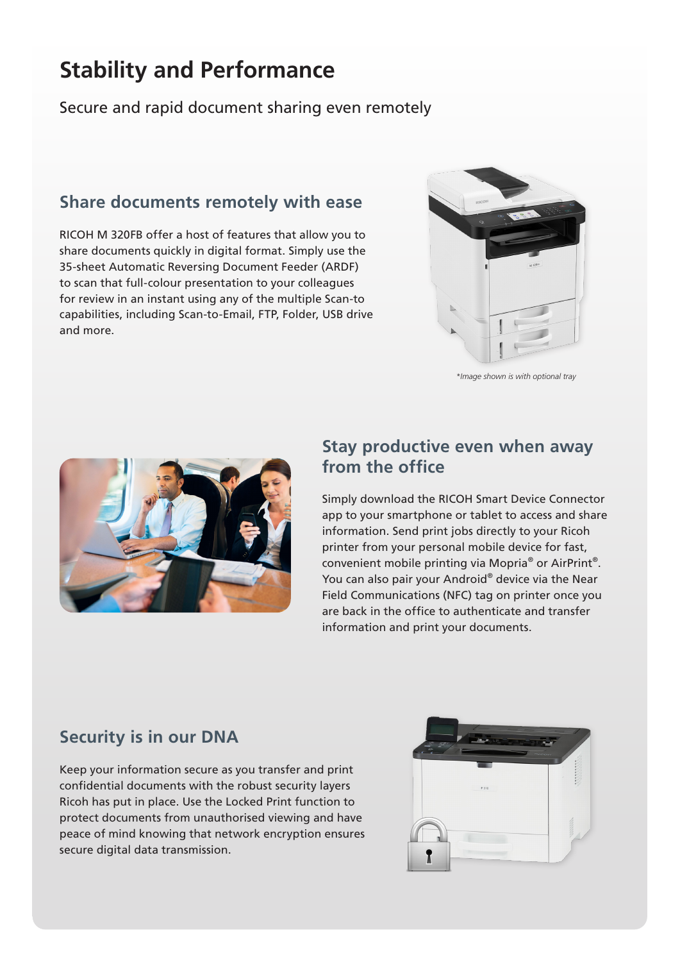## **Stability and Performance**

Secure and rapid document sharing even remotely

#### **Share documents remotely with ease**

RICOH M 320FB offer a host of features that allow you to share documents quickly in digital format. Simply use the 35-sheet Automatic Reversing Document Feeder (ARDF) to scan that full-colour presentation to your colleagues for review in an instant using any of the multiple Scan-to capabilities, including Scan-to-Email, FTP, Folder, USB drive and more.



*\*Image shown is with optional tray*



#### **Stay productive even when away from the office**

Simply download the RICOH Smart Device Connector app to your smartphone or tablet to access and share information. Send print jobs directly to your Ricoh printer from your personal mobile device for fast, convenient mobile printing via Mopria® or AirPrint®. You can also pair your Android® device via the Near Field Communications (NFC) tag on printer once you are back in the office to authenticate and transfer information and print your documents.

#### **Security is in our DNA**

Keep your information secure as you transfer and print confidential documents with the robust security layers Ricoh has put in place. Use the Locked Print function to protect documents from unauthorised viewing and have peace of mind knowing that network encryption ensures secure digital data transmission.